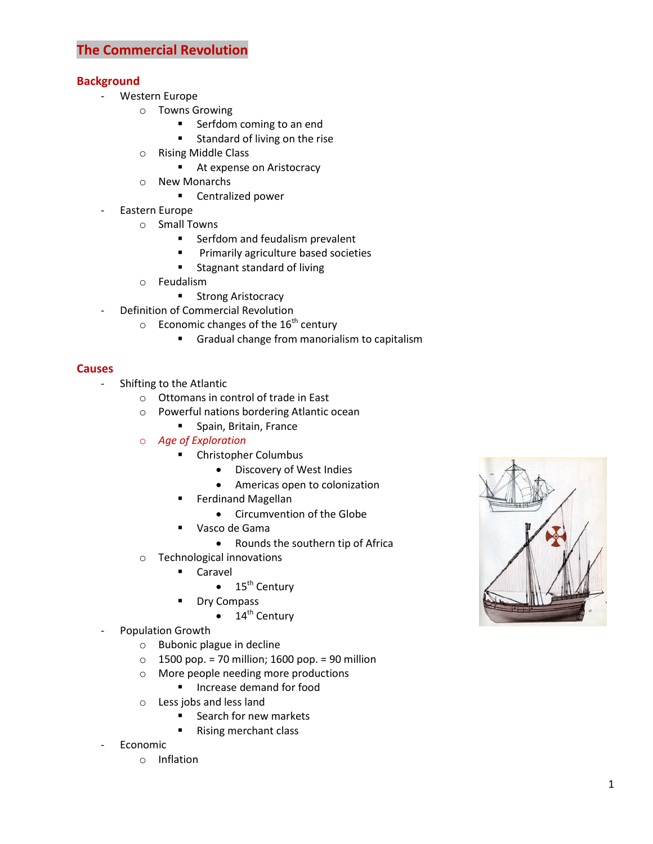## **Background**

- Western Europe
	- o Towns Growing
		- **Serfdom coming to an end**
		- **Standard of living on the rise**
	- o Rising Middle Class
		- At expense on Aristocracy
	- o New Monarchs
		- **EXEC** Centralized power
- Eastern Europe
	- o Small Towns
		- **Serfdom and feudalism prevalent**
		- **Primarily agriculture based societies**
		- **Stagnant standard of living**
	- o Feudalism
		- **Strong Aristocracy**
- Definition of Commercial Revolution
	- $\circ$  Economic changes of the 16<sup>th</sup> century
		- Gradual change from manorialism to capitalism

### **Causes**

- Shifting to the Atlantic
	- o Ottomans in control of trade in East
	- o Powerful nations bordering Atlantic ocean
		- **Spain, Britain, France**
	- o *Age of Exploration*
		- **EXECUTE:** Christopher Columbus
			- Discovery of West Indies
			- Americas open to colonization
		- **Ferdinand Magellan** 
			- Circumvention of the Globe
		- Vasco de Gama
			- Rounds the southern tip of Africa
	- o Technological innovations
		- **Caravel** 
			- $\bullet$  15<sup>th</sup> Century
		- **Dry Compass** 
			- $\bullet$  14<sup>th</sup> Century
- Population Growth
	- o Bubonic plague in decline
	- $\circ$  1500 pop. = 70 million; 1600 pop. = 90 million
	- o More people needing more productions
		- **Increase demand for food**
	- o Less jobs and less land
		- **Search for new markets**
		- Rising merchant class
- **Economic** 
	- o Inflation

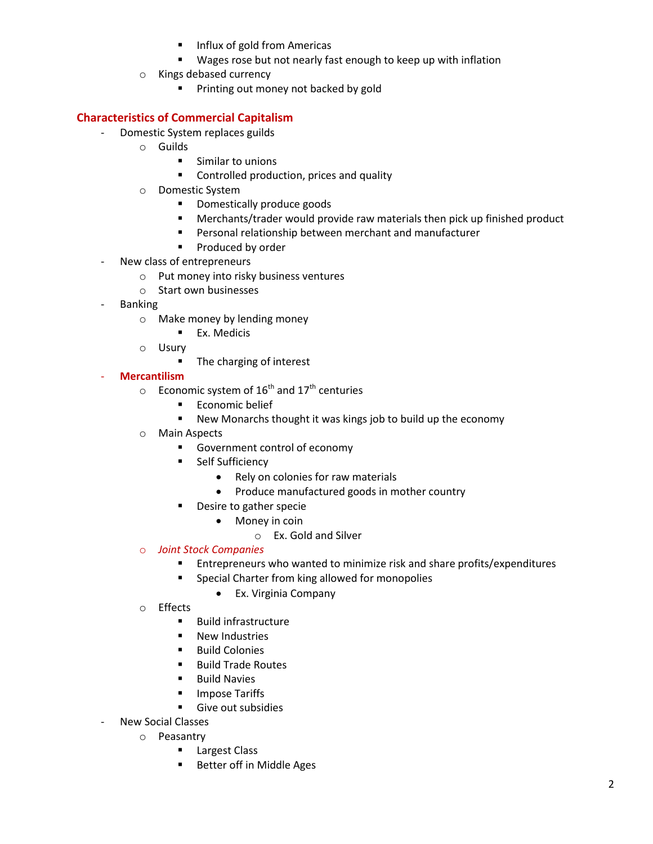- Influx of gold from Americas
- Wages rose but not nearly fast enough to keep up with inflation
- o Kings debased currency
	- **Printing out money not backed by gold**

# **Characteristics of Commercial Capitalism**

- Domestic System replaces guilds
	- o Guilds
		- **E** Similar to unions
		- **EXECONTROLLED PRODUCTION, prices and quality**
	- o Domestic System
		- **Domestically produce goods**
		- Merchants/trader would provide raw materials then pick up finished product
		- Personal relationship between merchant and manufacturer
		- **Produced by order**
- New class of entrepreneurs
	- o Put money into risky business ventures
	- o Start own businesses
- Banking
	- o Make money by lending money
		- **Ex. Medicis**
	- o Usury
		- The charging of interest

## - **Mercantilism**

- $\circ$  Economic system of 16<sup>th</sup> and 17<sup>th</sup> centuries
	- **Economic belief**
	- New Monarchs thought it was kings job to build up the economy
- o Main Aspects
	- Government control of economy
	- **Self Sufficiency** 
		- Rely on colonies for raw materials
		- Produce manufactured goods in mother country
	- **Desire to gather specie** 
		- Money in coin
			- o Ex. Gold and Silver

### o *Joint Stock Companies*

- Entrepreneurs who wanted to minimize risk and share profits/expenditures
- **Special Charter from king allowed for monopolies** 
	- Ex. Virginia Company
- o Effects
	- **Build infrastructure**
	- **New Industries**
	- **Build Colonies**
	- Build Trade Routes
	- Build Navies
	- **Impose Tariffs**
	- Give out subsidies
- New Social Classes
	- o Peasantry
		- **Largest Class**
		- **Better off in Middle Ages**